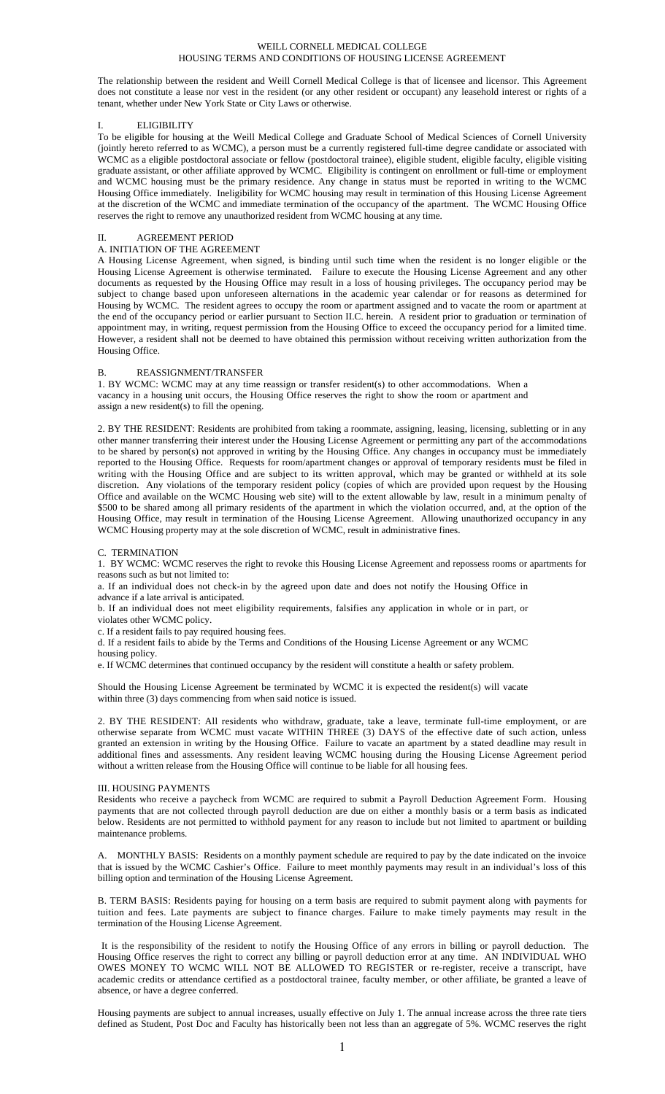### WEILL CORNELL MEDICAL COLLEGE HOUSING TERMS AND CONDITIONS OF HOUSING LICENSE AGREEMENT

The relationship between the resident and Weill Cornell Medical College is that of licensee and licensor. This Agreement does not constitute a lease nor vest in the resident (or any other resident or occupant) any leasehold interest or rights of a tenant, whether under New York State or City Laws or otherwise.

### I. ELIGIBILITY

To be eligible for housing at the Weill Medical College and Graduate School of Medical Sciences of Cornell University (jointly hereto referred to as WCMC), a person must be a currently registered full-time degree candidate or associated with WCMC as a eligible postdoctoral associate or fellow (postdoctoral trainee), eligible student, eligible faculty, eligible visiting graduate assistant, or other affiliate approved by WCMC. Eligibility is contingent on enrollment or full-time or employment and WCMC housing must be the primary residence. Any change in status must be reported in writing to the WCMC Housing Office immediately. Ineligibility for WCMC housing may result in termination of this Housing License Agreement at the discretion of the WCMC and immediate termination of the occupancy of the apartment. The WCMC Housing Office reserves the right to remove any unauthorized resident from WCMC housing at any time.

#### AGREEMENT PERIOD

### A. INITIATION OF THE AGREEMENT

A Housing License Agreement, when signed, is binding until such time when the resident is no longer eligible or the Housing License Agreement is otherwise terminated. Failure to execute the Housing License Agreement and any other documents as requested by the Housing Office may result in a loss of housing privileges. The occupancy period may be subject to change based upon unforeseen alternations in the academic year calendar or for reasons as determined for Housing by WCMC. The resident agrees to occupy the room or apartment assigned and to vacate the room or apartment at the end of the occupancy period or earlier pursuant to Section II.C. herein. A resident prior to graduation or termination of appointment may, in writing, request permission from the Housing Office to exceed the occupancy period for a limited time. However, a resident shall not be deemed to have obtained this permission without receiving written authorization from the Housing Office.

## B. REASSIGNMENT/TRANSFER

1. BY WCMC: WCMC may at any time reassign or transfer resident(s) to other accommodations. When a vacancy in a housing unit occurs, the Housing Office reserves the right to show the room or apartment and assign a new resident(s) to fill the opening.

2. BY THE RESIDENT: Residents are prohibited from taking a roommate, assigning, leasing, licensing, subletting or in any other manner transferring their interest under the Housing License Agreement or permitting any part of the accommodations to be shared by person(s) not approved in writing by the Housing Office. Any changes in occupancy must be immediately reported to the Housing Office. Requests for room/apartment changes or approval of temporary residents must be filed in writing with the Housing Office and are subject to its written approval, which may be granted or withheld at its sole discretion. Any violations of the temporary resident policy (copies of which are provided upon request by the Housing Office and available on the WCMC Housing web site) will to the extent allowable by law, result in a minimum penalty of \$500 to be shared among all primary residents of the apartment in which the violation occurred, and, at the option of the Housing Office, may result in termination of the Housing License Agreement. Allowing unauthorized occupancy in any WCMC Housing property may at the sole discretion of WCMC, result in administrative fines.

#### C. TERMINATION

1. BY WCMC: WCMC reserves the right to revoke this Housing License Agreement and repossess rooms or apartments for reasons such as but not limited to:

a. If an individual does not check-in by the agreed upon date and does not notify the Housing Office in advance if a late arrival is anticipated.

b. If an individual does not meet eligibility requirements, falsifies any application in whole or in part, or violates other WCMC policy.

c. If a resident fails to pay required housing fees.

d. If a resident fails to abide by the Terms and Conditions of the Housing License Agreement or any WCMC housing policy.

e. If WCMC determines that continued occupancy by the resident will constitute a health or safety problem.

Should the Housing License Agreement be terminated by WCMC it is expected the resident(s) will vacate within three (3) days commencing from when said notice is issued.

2. BY THE RESIDENT: All residents who withdraw, graduate, take a leave, terminate full-time employment, or are otherwise separate from WCMC must vacate WITHIN THREE (3) DAYS of the effective date of such action, unless granted an extension in writing by the Housing Office. Failure to vacate an apartment by a stated deadline may result in additional fines and assessments. Any resident leaving WCMC housing during the Housing License Agreement period without a written release from the Housing Office will continue to be liable for all housing fees.

#### III. HOUSING PAYMENTS

Residents who receive a paycheck from WCMC are required to submit a Payroll Deduction Agreement Form. Housing payments that are not collected through payroll deduction are due on either a monthly basis or a term basis as indicated below. Residents are not permitted to withhold payment for any reason to include but not limited to apartment or building maintenance problems.

A. MONTHLY BASIS: Residents on a monthly payment schedule are required to pay by the date indicated on the invoice that is issued by the WCMC Cashier's Office. Failure to meet monthly payments may result in an individual's loss of this billing option and termination of the Housing License Agreement.

B. TERM BASIS: Residents paying for housing on a term basis are required to submit payment along with payments for tuition and fees. Late payments are subject to finance charges. Failure to make timely payments may result in the termination of the Housing License Agreement.

 It is the responsibility of the resident to notify the Housing Office of any errors in billing or payroll deduction. The Housing Office reserves the right to correct any billing or payroll deduction error at any time. AN INDIVIDUAL WHO OWES MONEY TO WCMC WILL NOT BE ALLOWED TO REGISTER or re-register, receive a transcript, have academic credits or attendance certified as a postdoctoral trainee, faculty member, or other affiliate, be granted a leave of absence, or have a degree conferred.

Housing payments are subject to annual increases, usually effective on July 1. The annual increase across the three rate tiers defined as Student, Post Doc and Faculty has historically been not less than an aggregate of 5%. WCMC reserves the right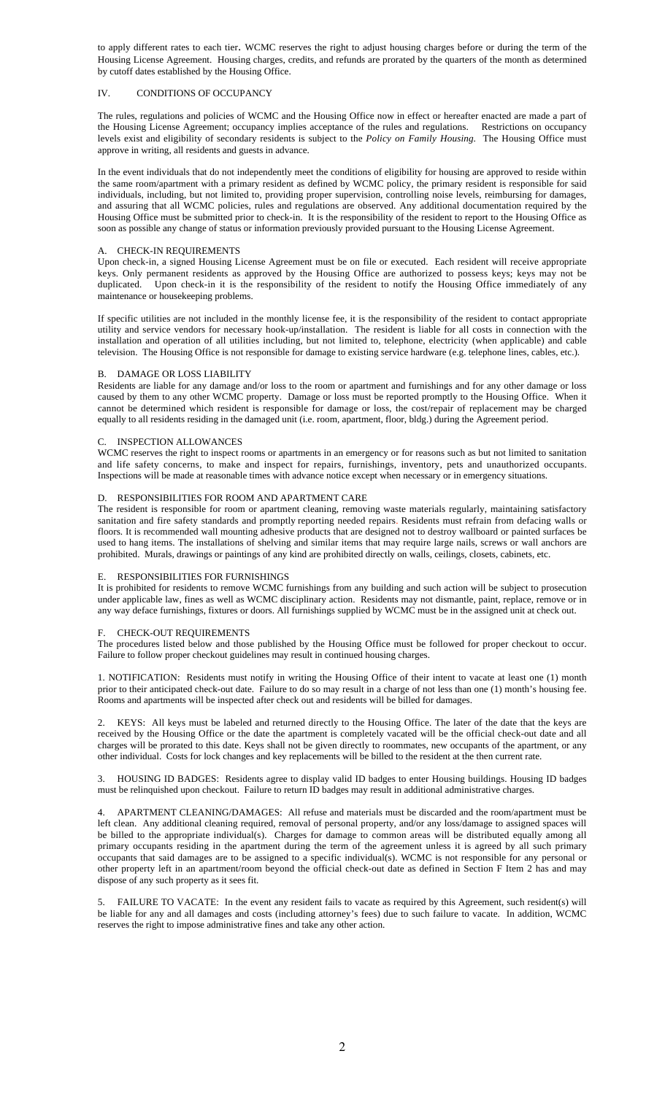to apply different rates to each tier. WCMC reserves the right to adjust housing charges before or during the term of the Housing License Agreement. Housing charges, credits, and refunds are prorated by the quarters of the month as determined by cutoff dates established by the Housing Office.

# IV. CONDITIONS OF OCCUPANCY

The rules, regulations and policies of WCMC and the Housing Office now in effect or hereafter enacted are made a part of the Housing License Agreement; occupancy implies acceptance of the rules and regulations. Restrictions on occupancy levels exist and eligibility of secondary residents is subject to the *Policy on Family Housing*. The Housing Office must approve in writing, all residents and guests in advance.

In the event individuals that do not independently meet the conditions of eligibility for housing are approved to reside within the same room/apartment with a primary resident as defined by WCMC policy, the primary resident is responsible for said individuals, including, but not limited to, providing proper supervision, controlling noise levels, reimbursing for damages, and assuring that all WCMC policies, rules and regulations are observed. Any additional documentation required by the Housing Office must be submitted prior to check-in. It is the responsibility of the resident to report to the Housing Office as soon as possible any change of status or information previously provided pursuant to the Housing License Agreement.

# A. CHECK-IN REQUIREMENTS

Upon check-in, a signed Housing License Agreement must be on file or executed. Each resident will receive appropriate keys. Only permanent residents as approved by the Housing Office are authorized to possess keys; keys may not be duplicated. Upon check-in it is the responsibility of the resident to notify the Housing Office immediately of any maintenance or housekeeping problems.

If specific utilities are not included in the monthly license fee, it is the responsibility of the resident to contact appropriate utility and service vendors for necessary hook-up/installation. The resident is liable for all costs in connection with the installation and operation of all utilities including, but not limited to, telephone, electricity (when applicable) and cable television. The Housing Office is not responsible for damage to existing service hardware (e.g. telephone lines, cables, etc.).

# B. DAMAGE OR LOSS LIABILITY

Residents are liable for any damage and/or loss to the room or apartment and furnishings and for any other damage or loss caused by them to any other WCMC property. Damage or loss must be reported promptly to the Housing Office. When it cannot be determined which resident is responsible for damage or loss, the cost/repair of replacement may be charged equally to all residents residing in the damaged unit (i.e. room, apartment, floor, bldg.) during the Agreement period.

# C. INSPECTION ALLOWANCES

WCMC reserves the right to inspect rooms or apartments in an emergency or for reasons such as but not limited to sanitation and life safety concerns, to make and inspect for repairs, furnishings, inventory, pets and unauthorized occupants. Inspections will be made at reasonable times with advance notice except when necessary or in emergency situations.

# D. RESPONSIBILITIES FOR ROOM AND APARTMENT CARE

The resident is responsible for room or apartment cleaning, removing waste materials regularly, maintaining satisfactory sanitation and fire safety standards and promptly reporting needed repairs. Residents must refrain from defacing walls or floors. It is recommended wall mounting adhesive products that are designed not to destroy wallboard or painted surfaces be used to hang items. The installations of shelving and similar items that may require large nails, screws or wall anchors are prohibited. Murals, drawings or paintings of any kind are prohibited directly on walls, ceilings, closets, cabinets, etc.

## E. RESPONSIBILITIES FOR FURNISHINGS

It is prohibited for residents to remove WCMC furnishings from any building and such action will be subject to prosecution under applicable law, fines as well as WCMC disciplinary action. Residents may not dismantle, paint, replace, remove or in any way deface furnishings, fixtures or doors. All furnishings supplied by WCMC must be in the assigned unit at check out.

# F. CHECK-OUT REQUIREMENTS

The procedures listed below and those published by the Housing Office must be followed for proper checkout to occur. Failure to follow proper checkout guidelines may result in continued housing charges.

1. NOTIFICATION: Residents must notify in writing the Housing Office of their intent to vacate at least one (1) month prior to their anticipated check-out date. Failure to do so may result in a charge of not less than one (1) month's housing fee. Rooms and apartments will be inspected after check out and residents will be billed for damages.

2. KEYS: All keys must be labeled and returned directly to the Housing Office. The later of the date that the keys are received by the Housing Office or the date the apartment is completely vacated will be the official check-out date and all charges will be prorated to this date. Keys shall not be given directly to roommates, new occupants of the apartment, or any other individual. Costs for lock changes and key replacements will be billed to the resident at the then current rate.

3. HOUSING ID BADGES: Residents agree to display valid ID badges to enter Housing buildings. Housing ID badges must be relinquished upon checkout. Failure to return ID badges may result in additional administrative charges.

4. APARTMENT CLEANING/DAMAGES: All refuse and materials must be discarded and the room/apartment must be left clean. Any additional cleaning required, removal of personal property, and/or any loss/damage to assigned spaces will be billed to the appropriate individual(s). Charges for damage to common areas will be distributed equally among all primary occupants residing in the apartment during the term of the agreement unless it is agreed by all such primary occupants that said damages are to be assigned to a specific individual(s). WCMC is not responsible for any personal or other property left in an apartment/room beyond the official check-out date as defined in Section F Item 2 has and may dispose of any such property as it sees fit.

5. FAILURE TO VACATE: In the event any resident fails to vacate as required by this Agreement, such resident(s) will be liable for any and all damages and costs (including attorney's fees) due to such failure to vacate. In addition, WCMC reserves the right to impose administrative fines and take any other action.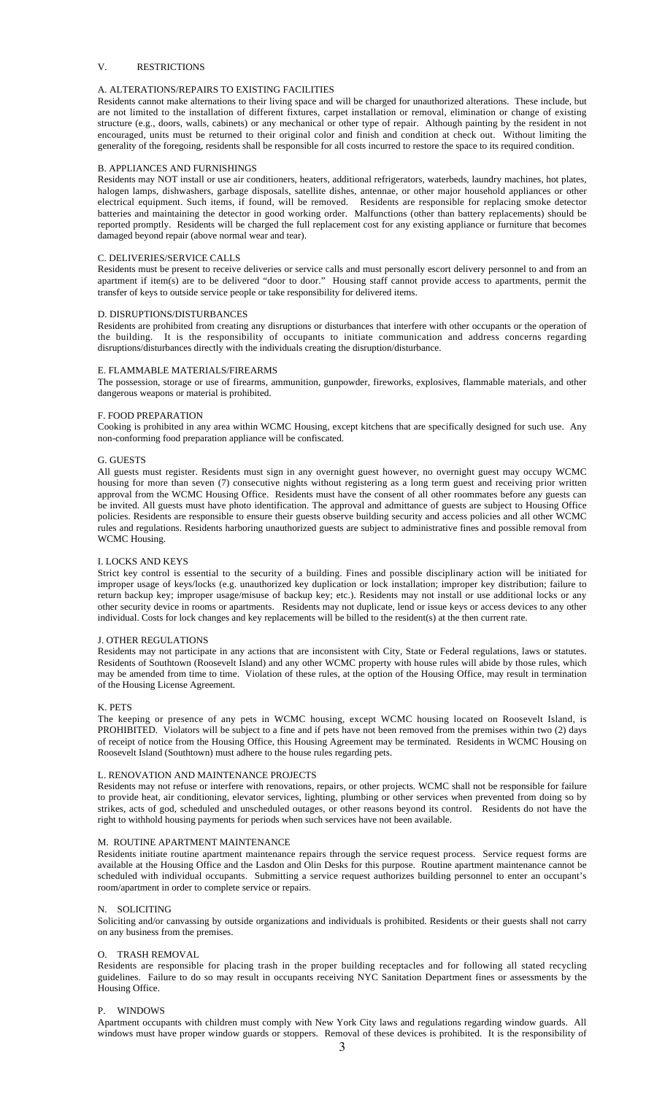# V. RESTRICTIONS

## A. ALTERATIONS/REPAIRS TO EXISTING FACILITIES

Residents cannot make alternations to their living space and will be charged for unauthorized alterations. These include, but are not limited to the installation of different fixtures, carpet installation or removal, elimination or change of existing structure (e.g., doors, walls, cabinets) or any mechanical or other type of repair. Although painting by the resident in not encouraged, units must be returned to their original color and finish and condition at check out. Without limiting the generality of the foregoing, residents shall be responsible for all costs incurred to restore the space to its required condition.

### B. APPLIANCES AND FURNISHINGS

Residents may NOT install or use air conditioners, heaters, additional refrigerators, waterbeds, laundry machines, hot plates, halogen lamps, dishwashers, garbage disposals, satellite dishes, antennae, or other major household appliances or other electrical equipment. Such items, if found, will be removed. Residents are responsible for replacing smoke detector batteries and maintaining the detector in good working order. Malfunctions (other than battery replacements) should be reported promptly. Residents will be charged the full replacement cost for any existing appliance or furniture that becomes damaged beyond repair (above normal wear and tear).

#### C. DELIVERIES/SERVICE CALLS

Residents must be present to receive deliveries or service calls and must personally escort delivery personnel to and from an apartment if item(s) are to be delivered "door to door." Housing staff cannot provide access to apartments, permit the transfer of keys to outside service people or take responsibility for delivered items.

### D. DISRUPTIONS/DISTURBANCES

Residents are prohibited from creating any disruptions or disturbances that interfere with other occupants or the operation of the building. It is the responsibility of occupants to initiate communication and address concerns regarding disruptions/disturbances directly with the individuals creating the disruption/disturbance.

#### E. FLAMMABLE MATERIALS/FIREARMS

The possession, storage or use of firearms, ammunition, gunpowder, fireworks, explosives, flammable materials, and other dangerous weapons or material is prohibited.

#### F. FOOD PREPARATION

Cooking is prohibited in any area within WCMC Housing, except kitchens that are specifically designed for such use. Any non-conforming food preparation appliance will be confiscated.

#### G. GUESTS

All guests must register. Residents must sign in any overnight guest however, no overnight guest may occupy WCMC housing for more than seven (7) consecutive nights without registering as a long term guest and receiving prior written approval from the WCMC Housing Office. Residents must have the consent of all other roommates before any guests can be invited. All guests must have photo identification. The approval and admittance of guests are subject to Housing Office policies. Residents are responsible to ensure their guests observe building security and access policies and all other WCMC rules and regulations. Residents harboring unauthorized guests are subject to administrative fines and possible removal from WCMC Housing.

# I. LOCKS AND KEYS

Strict key control is essential to the security of a building. Fines and possible disciplinary action will be initiated for improper usage of keys/locks (e.g. unauthorized key duplication or lock installation; improper key distribution; failure to return backup key; improper usage/misuse of backup key; etc.). Residents may not install or use additional locks or any other security device in rooms or apartments. Residents may not duplicate, lend or issue keys or access devices to any other individual. Costs for lock changes and key replacements will be billed to the resident(s) at the then current rate.

# J. OTHER REGULATIONS

Residents may not participate in any actions that are inconsistent with City, State or Federal regulations, laws or statutes. Residents of Southtown (Roosevelt Island) and any other WCMC property with house rules will abide by those rules, which may be amended from time to time. Violation of these rules, at the option of the Housing Office, may result in termination of the Housing License Agreement.

#### K. PETS

The keeping or presence of any pets in WCMC housing, except WCMC housing located on Roosevelt Island, is PROHIBITED. Violators will be subject to a fine and if pets have not been removed from the premises within two (2) days of receipt of notice from the Housing Office, this Housing Agreement may be terminated. Residents in WCMC Housing on Roosevelt Island (Southtown) must adhere to the house rules regarding pets.

#### L. RENOVATION AND MAINTENANCE PROJECTS

Residents may not refuse or interfere with renovations, repairs, or other projects. WCMC shall not be responsible for failure to provide heat, air conditioning, elevator services, lighting, plumbing or other services when prevented from doing so by strikes, acts of god, scheduled and unscheduled outages, or other reasons beyond its control. Residents do not have the right to withhold housing payments for periods when such services have not been available.

# M. ROUTINE APARTMENT MAINTENANCE

Residents initiate routine apartment maintenance repairs through the service request process. Service request forms are available at the Housing Office and the Lasdon and Olin Desks for this purpose. Routine apartment maintenance cannot be scheduled with individual occupants. Submitting a service request authorizes building personnel to enter an occupant's room/apartment in order to complete service or repairs.

#### N. SOLICITING

Soliciting and/or canvassing by outside organizations and individuals is prohibited. Residents or their guests shall not carry on any business from the premises.

# O. TRASH REMOVAL

Residents are responsible for placing trash in the proper building receptacles and for following all stated recycling guidelines. Failure to do so may result in occupants receiving NYC Sanitation Department fines or assessments by the Housing Office.

## P. WINDOWS

Apartment occupants with children must comply with New York City laws and regulations regarding window guards. All windows must have proper window guards or stoppers. Removal of these devices is prohibited. It is the responsibility of